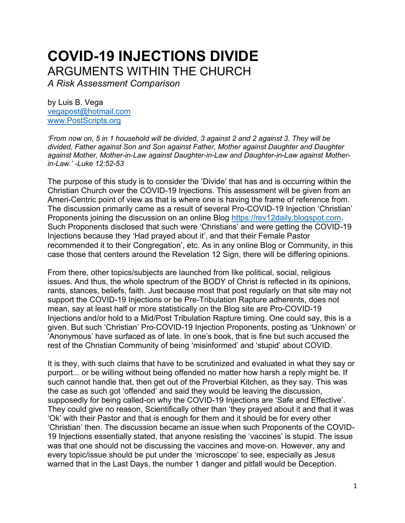# **COVID-19 INJECTIONS DIVIDE** ARGUMENTS WITHIN THE CHURCH

*A Risk Assessment Comparison*

by Luis B. Vega [vegapost@hotmail.com](mailto:vegapost@hotmail.com) [www.PostScripts.org](http://www.postscripts.org/)

*'From now on, 5 in 1 household will be divided, 3 against 2 and 2 against 3. They will be divided, Father against Son and Son against Father, Mother against Daughter and Daughter against Mother, Mother-in-Law against Daughter-in-Law and Daughter-in-Law against Motherin-Law.' -Luke 12:52-53*

The purpose of this study is to consider the 'Divide' that has and is occurring within the Christian Church over the COVID-19 Injections. This assessment will be given from an Ameri-Centric point of view as that is where one is having the frame of reference from. The discussion primarily came as a result of several Pro-COVID-19 Injection 'Christian' Proponents joining the discussion on an online Blog [https://rev12daily.blogspot.com.](https://rev12daily.blogspot.com/) Such Proponents disclosed that such were 'Christians' and were getting the COVID-19 Injections because they 'Had prayed about it', and that their Female Pastor recommended it to their Congregation', etc. As in any online Blog or Community, in this case those that centers around the Revelation 12 Sign, there will be differing opinions.

From there, other topics/subjects are launched from like political, social, religious issues. And thus, the whole spectrum of the BODY of Christ is reflected in its opinions, rants, stances, beliefs, faith. Just because most that post regularly on that site may not support the COVID-19 Injections or be Pre-Tribulation Rapture adherents, does not mean, say at least half or more statistically on the Blog site are Pro-COVID-19 Injections and/or hold to a Mid/Post Tribulation Rapture timing. One could say, this is a given. But such 'Christian' Pro-COVID-19 Injection Proponents, posting as 'Unknown' or 'Anonymous' have surfaced as of late. In one's book, that is fine but such accused the rest of the Christian Community of being 'misinformed' and 'stupid' about COVID.

It is they, with such claims that have to be scrutinized and evaluated in what they say or purport... or be willing without being offended no matter how harsh a reply might be. If such cannot handle that, then get out of the Proverbial Kitchen, as they say. This was the case as such got 'offended' and said they would be leaving the discussion, supposedly for being called-on why the COVID-19 Injections are 'Safe and Effective'. They could give no reason, Scientifically other than 'they prayed about it and that it was 'Ok' with their Pastor and that is enough for them and it should be for every other 'Christian' then. The discussion became an issue when such Proponents of the COVID-19 Injections essentially stated, that anyone resisting the 'vaccines' is stupid. The issue was that one should not be discussing the vaccines and move-on. However, any and every topic/issue should be put under the 'microscope' to see, especially as Jesus warned that in the Last Days, the number 1 danger and pitfall would be Deception.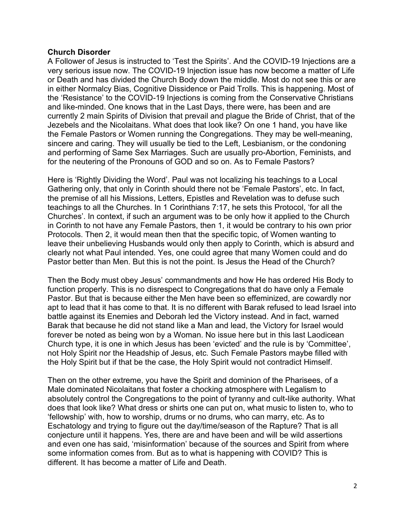### **Church Disorder**

A Follower of Jesus is instructed to 'Test the Spirits'. And the COVID-19 Injections are a very serious issue now. The COVID-19 Injection issue has now become a matter of Life or Death and has divided the Church Body down the middle. Most do not see this or are in either Normalcy Bias, Cognitive Dissidence or Paid Trolls. This is happening. Most of the 'Resistance' to the COVID-19 Injections is coming from the Conservative Christians and like-minded. One knows that in the Last Days, there were, has been and are currently 2 main Spirits of Division that prevail and plague the Bride of Christ, that of the Jezebels and the Nicolaitans. What does that look like? On one 1 hand, you have like the Female Pastors or Women running the Congregations. They may be well-meaning, sincere and caring. They will usually be tied to the Left, Lesbianism, or the condoning and performing of Same Sex Marriages. Such are usually pro-Abortion, Feminists, and for the neutering of the Pronouns of GOD and so on. As to Female Pastors?

Here is 'Rightly Dividing the Word'. Paul was not localizing his teachings to a Local Gathering only, that only in Corinth should there not be 'Female Pastors', etc. In fact, the premise of all his Missions, Letters, Epistles and Revelation was to defuse such teachings to all the Churches. In 1 Corinthians 7:17, he sets this Protocol, 'for all the Churches'. In context, if such an argument was to be only how it applied to the Church in Corinth to not have any Female Pastors, then 1, it would be contrary to his own prior Protocols. Then 2, it would mean then that the specific topic, of Women wanting to leave their unbelieving Husbands would only then apply to Corinth, which is absurd and clearly not what Paul intended. Yes, one could agree that many Women could and do Pastor better than Men. But this is not the point. Is Jesus the Head of the Church?

Then the Body must obey Jesus' commandments and how He has ordered His Body to function properly. This is no disrespect to Congregations that do have only a Female Pastor. But that is because either the Men have been so effeminized, are cowardly nor apt to lead that it has come to that. It is no different with Barak refused to lead Israel into battle against its Enemies and Deborah led the Victory instead. And in fact, warned Barak that because he did not stand like a Man and lead, the Victory for Israel would forever be noted as being won by a Woman. No issue here but in this last Laodicean Church type, it is one in which Jesus has been 'evicted' and the rule is by 'Committee', not Holy Spirit nor the Headship of Jesus, etc. Such Female Pastors maybe filled with the Holy Spirit but if that be the case, the Holy Spirit would not contradict Himself.

Then on the other extreme, you have the Spirit and dominion of the Pharisees, of a Male dominated Nicolaitans that foster a chocking atmosphere with Legalism to absolutely control the Congregations to the point of tyranny and cult-like authority. What does that look like? What dress or shirts one can put on, what music to listen to, who to 'fellowship' with, how to worship, drums or no drums, who can marry, etc. As to Eschatology and trying to figure out the day/time/season of the Rapture? That is all conjecture until it happens. Yes, there are and have been and will be wild assertions and even one has said, 'misinformation' because of the sources and Spirit from where some information comes from. But as to what is happening with COVID? This is different. It has become a matter of Life and Death.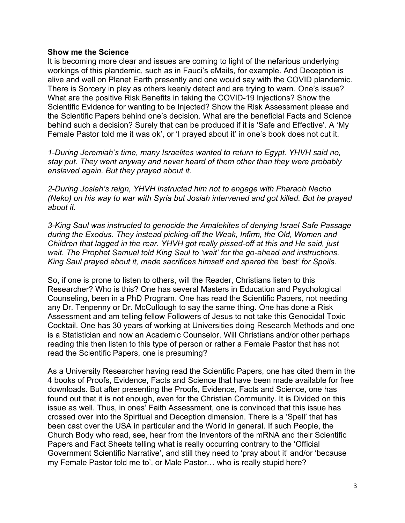#### **Show me the Science**

It is becoming more clear and issues are coming to light of the nefarious underlying workings of this plandemic, such as in Fauci's eMails, for example. And Deception is alive and well on Planet Earth presently and one would say with the COVID plandemic. There is Sorcery in play as others keenly detect and are trying to warn. One's issue? What are the positive Risk Benefits in taking the COVID-19 Injections? Show the Scientific Evidence for wanting to be Injected? Show the Risk Assessment please and the Scientific Papers behind one's decision. What are the beneficial Facts and Science behind such a decision? Surely that can be produced if it is 'Safe and Effective'. A 'My Female Pastor told me it was ok', or 'I prayed about it' in one's book does not cut it.

*1-During Jeremiah's time, many Israelites wanted to return to Egypt. YHVH said no, stay put. They went anyway and never heard of them other than they were probably enslaved again. But they prayed about it.* 

*2-During Josiah's reign, YHVH instructed him not to engage with Pharaoh Necho (Neko) on his way to war with Syria but Josiah intervened and got killed. But he prayed about it.* 

*3-King Saul was instructed to genocide the Amalekites of denying Israel Safe Passage during the Exodus. They instead picking-off the Weak, Infirm, the Old, Women and Children that lagged in the rear. YHVH got really pissed-off at this and He said, just wait. The Prophet Samuel told King Saul to 'wait' for the go-ahead and instructions. King Saul prayed about it, made sacrifices himself and spared the 'best' for Spoils.*

So, if one is prone to listen to others, will the Reader, Christians listen to this Researcher? Who is this? One has several Masters in Education and Psychological Counseling, been in a PhD Program. One has read the Scientific Papers, not needing any Dr. Tenpenny or Dr. McCullough to say the same thing. One has done a Risk Assessment and am telling fellow Followers of Jesus to not take this Genocidal Toxic Cocktail. One has 30 years of working at Universities doing Research Methods and one is a Statistician and now an Academic Counselor. Will Christians and/or other perhaps reading this then listen to this type of person or rather a Female Pastor that has not read the Scientific Papers, one is presuming?

As a University Researcher having read the Scientific Papers, one has cited them in the 4 books of Proofs, Evidence, Facts and Science that have been made available for free downloads. But after presenting the Proofs, Evidence, Facts and Science, one has found out that it is not enough, even for the Christian Community. It is Divided on this issue as well. Thus, in ones' Faith Assessment, one is convinced that this issue has crossed over into the Spiritual and Deception dimension. There is a 'Spell' that has been cast over the USA in particular and the World in general. If such People, the Church Body who read, see, hear from the Inventors of the mRNA and their Scientific Papers and Fact Sheets telling what is really occurring contrary to the 'Official Government Scientific Narrative', and still they need to 'pray about it' and/or 'because my Female Pastor told me to', or Male Pastor… who is really stupid here?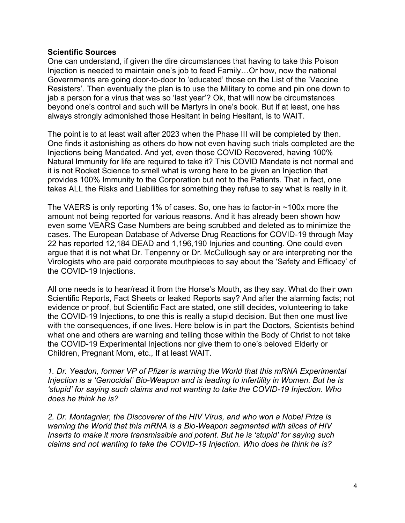## **Scientific Sources**

One can understand, if given the dire circumstances that having to take this Poison Injection is needed to maintain one's job to feed Family…Or how, now the national Governments are going door-to-door to 'educated' those on the List of the 'Vaccine Resisters'. Then eventually the plan is to use the Military to come and pin one down to jab a person for a virus that was so 'last year'? Ok, that will now be circumstances beyond one's control and such will be Martyrs in one's book. But if at least, one has always strongly admonished those Hesitant in being Hesitant, is to WAIT.

The point is to at least wait after 2023 when the Phase III will be completed by then. One finds it astonishing as others do how not even having such trials completed are the Injections being Mandated. And yet, even those COVID Recovered, having 100% Natural Immunity for life are required to take it? This COVID Mandate is not normal and it is not Rocket Science to smell what is wrong here to be given an Injection that provides 100% Immunity to the Corporation but not to the Patients. That in fact, one takes ALL the Risks and Liabilities for something they refuse to say what is really in it.

The VAERS is only reporting 1% of cases. So, one has to factor-in ~100x more the amount not being reported for various reasons. And it has already been shown how even some VEARS Case Numbers are being scrubbed and deleted as to minimize the cases. The European Database of Adverse Drug Reactions for COVID-19 through May 22 has reported 12,184 DEAD and 1,196,190 Injuries and counting. One could even argue that it is not what Dr. Tenpenny or Dr. McCullough say or are interpreting nor the Virologists who are paid corporate mouthpieces to say about the 'Safety and Efficacy' of the COVID-19 Injections.

All one needs is to hear/read it from the Horse's Mouth, as they say. What do their own Scientific Reports, Fact Sheets or leaked Reports say? And after the alarming facts; not evidence or proof, but Scientific Fact are stated, one still decides, volunteering to take the COVID-19 Injections, to one this is really a stupid decision. But then one must live with the consequences, if one lives. Here below is in part the Doctors, Scientists behind what one and others are warning and telling those within the Body of Christ to not take the COVID-19 Experimental Injections nor give them to one's beloved Elderly or Children, Pregnant Mom, etc., If at least WAIT.

*1. Dr. Yeadon, former VP of Pfizer is warning the World that this mRNA Experimental Injection is a 'Genocidal' Bio-Weapon and is leading to infertility in Women. But he is 'stupid' for saying such claims and not wanting to take the COVID-19 Injection. Who does he think he is?*

*2. Dr. Montagnier, the Discoverer of the HIV Virus, and who won a Nobel Prize is warning the World that this mRNA is a Bio-Weapon segmented with slices of HIV Inserts to make it more transmissible and potent. But he is 'stupid' for saying such claims and not wanting to take the COVID-19 Injection. Who does he think he is?*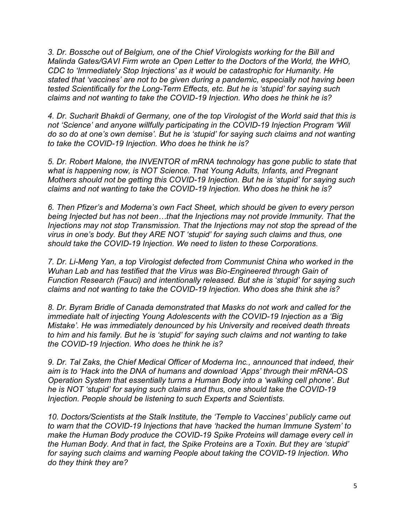*3. Dr. Bossche out of Belgium, one of the Chief Virologists working for the Bill and Malinda Gates/GAVI Firm wrote an Open Letter to the Doctors of the World, the WHO, CDC to 'Immediately Stop Injections' as it would be catastrophic for Humanity. He stated that 'vaccines' are not to be given during a pandemic, especially not having been tested Scientifically for the Long-Term Effects, etc. But he is 'stupid' for saying such claims and not wanting to take the COVID-19 Injection. Who does he think he is?*

*4. Dr. Sucharit Bhakdi of Germany, one of the top Virologist of the World said that this is not 'Science' and anyone willfully participating in the COVID-19 Injection Program 'Will do so do at one's own demise'. But he is 'stupid' for saying such claims and not wanting to take the COVID-19 Injection. Who does he think he is?*

*5. Dr. Robert Malone, the INVENTOR of mRNA technology has gone public to state that what is happening now, is NOT Science. That Young Adults, Infants, and Pregnant Mothers should not be getting this COVID-19 Injection. But he is 'stupid' for saying such claims and not wanting to take the COVID-19 Injection. Who does he think he is?*

*6. Then Pfizer's and Moderna's own Fact Sheet, which should be given to every person being Injected but has not been…that the Injections may not provide Immunity. That the Injections may not stop Transmission. That the Injections may not stop the spread of the virus in one's body. But they ARE NOT 'stupid' for saying such claims and thus, one should take the COVID-19 Injection. We need to listen to these Corporations.* 

*7. Dr. Li-Meng Yan, a top Virologist defected from Communist China who worked in the Wuhan Lab and has testified that the Virus was Bio-Engineered through Gain of Function Research (Fauci) and intentionally released. But she is 'stupid' for saying such claims and not wanting to take the COVID-19 Injection. Who does she think she is?*

*8. Dr. Byram Bridle of Canada demonstrated that Masks do not work and called for the immediate halt of injecting Young Adolescents with the COVID-19 Injection as a 'Big Mistake'. He was immediately denounced by his University and received death threats to him and his family. But he is 'stupid' for saying such claims and not wanting to take the COVID-19 Injection. Who does he think he is?*

*9. Dr. Tal Zaks, the Chief Medical Officer of Moderna Inc., announced that indeed, their aim is to 'Hack into the DNA of humans and download 'Apps' through their mRNA-OS Operation System that essentially turns a Human Body into a 'walking cell phone'. But he is NOT 'stupid' for saying such claims and thus, one should take the COVID-19 Injection. People should be listening to such Experts and Scientists.* 

*10. Doctors/Scientists at the Stalk Institute, the 'Temple to Vaccines' publicly came out to warn that the COVID-19 Injections that have 'hacked the human Immune System' to make the Human Body produce the COVID-19 Spike Proteins will damage every cell in the Human Body. And that in fact, the Spike Proteins are a Toxin. But they are 'stupid' for saying such claims and warning People about taking the COVID-19 Injection. Who do they think they are?*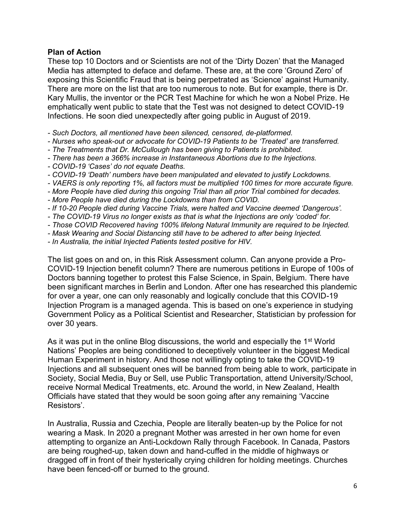# **Plan of Action**

These top 10 Doctors and or Scientists are not of the 'Dirty Dozen' that the Managed Media has attempted to deface and defame. These are, at the core 'Ground Zero' of exposing this Scientific Fraud that is being perpetrated as 'Science' against Humanity. There are more on the list that are too numerous to note. But for example, there is Dr. Kary Mullis, the inventor or the PCR Test Machine for which he won a Nobel Prize. He emphatically went public to state that the Test was not designed to detect COVID-19 Infections. He soon died unexpectedly after going public in August of 2019.

- *- Such Doctors, all mentioned have been silenced, censored, de-platformed.*
- *- Nurses who speak-out or advocate for COVID-19 Patients to be 'Treated' are transferred.*
- *- The Treatments that Dr. McCullough has been giving to Patients is prohibited.*
- *- There has been a 366% increase in Instantaneous Abortions due to the Injections.*
- *- COVID-19 'Cases' do not equate Deaths.*
- *- COVID-19 'Death' numbers have been manipulated and elevated to justify Lockdowns.*
- *- VAERS is only reporting 1%, all factors must be multiplied 100 times for more accurate figure.*
- *- More People have died during this ongoing Trial than all prior Trial combined for decades.*
- *- More People have died during the Lockdowns than from COVID.*
- *- If 10-20 People died during Vaccine Trials, were halted and Vaccine deemed 'Dangerous'.*
- *- The COVID-19 Virus no longer exists as that is what the Injections are only 'coded' for.*
- *- Those COVID Recovered having 100% lifelong Natural Immunity are required to be Injected.*
- *- Mask Wearing and Social Distancing still have to be adhered to after being Injected.*
- *- In Australia, the initial Injected Patients tested positive for HIV.*

The list goes on and on, in this Risk Assessment column. Can anyone provide a Pro-COVID-19 Injection benefit column? There are numerous petitions in Europe of 100s of Doctors banning together to protest this False Science, in Spain, Belgium. There have been significant marches in Berlin and London. After one has researched this plandemic for over a year, one can only reasonably and logically conclude that this COVID-19 Injection Program is a managed agenda. This is based on one's experience in studying Government Policy as a Political Scientist and Researcher, Statistician by profession for over 30 years.

As it was put in the online Blog discussions, the world and especially the 1<sup>st</sup> World Nations' Peoples are being conditioned to deceptively volunteer in the biggest Medical Human Experiment in history. And those not willingly opting to take the COVID-19 Injections and all subsequent ones will be banned from being able to work, participate in Society, Social Media, Buy or Sell, use Public Transportation, attend University/School, receive Normal Medical Treatments, etc. Around the world, in New Zealand, Health Officials have stated that they would be soon going after any remaining 'Vaccine Resistors'.

In Australia, Russia and Czechia, People are literally beaten-up by the Police for not wearing a Mask. In 2020 a pregnant Mother was arrested in her own home for even attempting to organize an Anti-Lockdown Rally through Facebook. In Canada, Pastors are being roughed-up, taken down and hand-cuffed in the middle of highways or dragged off in front of their hysterically crying children for holding meetings. Churches have been fenced-off or burned to the ground.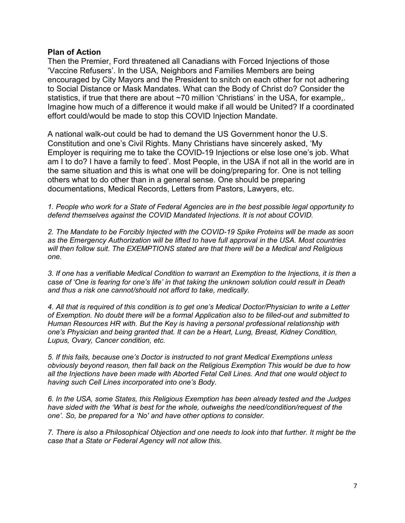#### **Plan of Action**

Then the Premier, Ford threatened all Canadians with Forced Injections of those 'Vaccine Refusers'. In the USA, Neighbors and Families Members are being encouraged by City Mayors and the President to snitch on each other for not adhering to Social Distance or Mask Mandates. What can the Body of Christ do? Consider the statistics, if true that there are about ~70 million 'Christians' in the USA, for example,. Imagine how much of a difference it would make if all would be United? If a coordinated effort could/would be made to stop this COVID Injection Mandate.

A national walk-out could be had to demand the US Government honor the U.S. Constitution and one's Civil Rights. Many Christians have sincerely asked, 'My Employer is requiring me to take the COVID-19 Injections or else lose one's job. What am I to do? I have a family to feed'. Most People, in the USA if not all in the world are in the same situation and this is what one will be doing/preparing for. One is not telling others what to do other than in a general sense. One should be preparing documentations, Medical Records, Letters from Pastors, Lawyers, etc.

*1. People who work for a State of Federal Agencies are in the best possible legal opportunity to defend themselves against the COVID Mandated Injections. It is not about COVID.*

*2. The Mandate to be Forcibly Injected with the COVID-19 Spike Proteins will be made as soon as the Emergency Authorization will be lifted to have full approval in the USA. Most countries will then follow suit. The EXEMPTIONS stated are that there will be a Medical and Religious one.* 

*3. If one has a verifiable Medical Condition to warrant an Exemption to the Injections, it is then a case of 'One is fearing for one's life' in that taking the unknown solution could result in Death and thus a risk one cannot/should not afford to take, medically.*

*4. All that is required of this condition is to get one's Medical Doctor/Physician to write a Letter of Exemption. No doubt there will be a formal Application also to be filled-out and submitted to Human Resources HR with. But the Key is having a personal professional relationship with one's Physician and being granted that. It can be a Heart, Lung, Breast, Kidney Condition, Lupus, Ovary, Cancer condition, etc.*

*5. If this fails, because one's Doctor is instructed to not grant Medical Exemptions unless obviously beyond reason, then fall back on the Religious Exemption This would be due to how all the Injections have been made with Aborted Fetal Cell Lines. And that one would object to having such Cell Lines incorporated into one's Body.*

*6. In the USA, some States, this Religious Exemption has been already tested and the Judges have sided with the 'What is best for the whole, outweighs the need/condition/request of the one'. So, be prepared for a 'No' and have other options to consider.*

*7. There is also a Philosophical Objection and one needs to look into that further. It might be the case that a State or Federal Agency will not allow this.*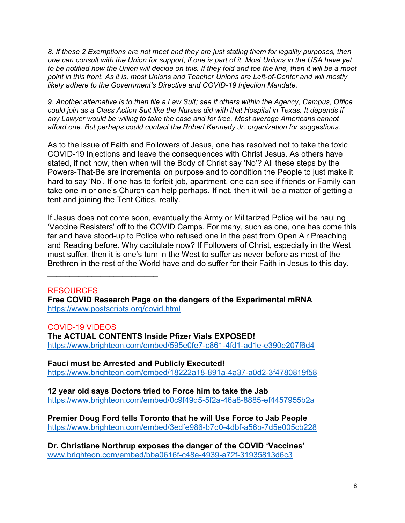*8. If these 2 Exemptions are not meet and they are just stating them for legality purposes, then one can consult with the Union for support, if one is part of it. Most Unions in the USA have yet to be notified how the Union will decide on this. If they fold and toe the line, then it will be a moot point in this front. As it is, most Unions and Teacher Unions are Left-of-Center and will mostly likely adhere to the Government's Directive and COVID-19 Injection Mandate.*

*9. Another alternative is to then file a Law Suit; see if others within the Agency, Campus, Office could join as a Class Action Suit like the Nurses did with that Hospital in Texas. It depends if any Lawyer would be willing to take the case and for free. Most average Americans cannot afford one. But perhaps could contact the Robert Kennedy Jr. organization for suggestions.*

As to the issue of Faith and Followers of Jesus, one has resolved not to take the toxic COVID-19 Injections and leave the consequences with Christ Jesus. As others have stated, if not now, then when will the Body of Christ say 'No'? All these steps by the Powers-That-Be are incremental on purpose and to condition the People to just make it hard to say 'No'. If one has to forfeit job, apartment, one can see if friends or Family can take one in or one's Church can help perhaps. If not, then it will be a matter of getting a tent and joining the Tent Cities, really.

If Jesus does not come soon, eventually the Army or Militarized Police will be hauling 'Vaccine Resisters' off to the COVID Camps. For many, such as one, one has come this far and have stood-up to Police who refused one in the past from Open Air Preaching and Reading before. Why capitulate now? If Followers of Christ, especially in the West must suffer, then it is one's turn in the West to suffer as never before as most of the Brethren in the rest of the World have and do suffer for their Faith in Jesus to this day.

# RESOURCES

\_\_\_\_\_\_\_\_\_\_\_\_\_\_\_\_\_\_\_\_\_\_\_\_\_

**Free COVID Research Page on the dangers of the Experimental mRNA**  <https://www.postscripts.org/covid.html>

COVID-19 VIDEOS **The ACTUAL CONTENTS Inside Pfizer Vials EXPOSED!** <https://www.brighteon.com/embed/595e0fe7-c861-4fd1-ad1e-e390e207f6d4>

**Fauci must be Arrested and Publicly Executed!** <https://www.brighteon.com/embed/18222a18-891a-4a37-a0d2-3f4780819f58>

**12 year old says Doctors tried to Force him to take the Jab** <https://www.brighteon.com/embed/0c9f49d5-5f2a-46a8-8885-ef4457955b2a>

**Premier Doug Ford tells Toronto that he will Use Force to Jab People** <https://www.brighteon.com/embed/3edfe986-b7d0-4dbf-a56b-7d5e005cb228>

**Dr. Christiane Northrup exposes the danger of the COVID 'Vaccines'** [www.brighteon.com/embed/bba0616f-c48e-4939-a72f-31935813d6c3](http://www.brighteon.com/embed/bba0616f-c48e-4939-a72f-31935813d6c3)